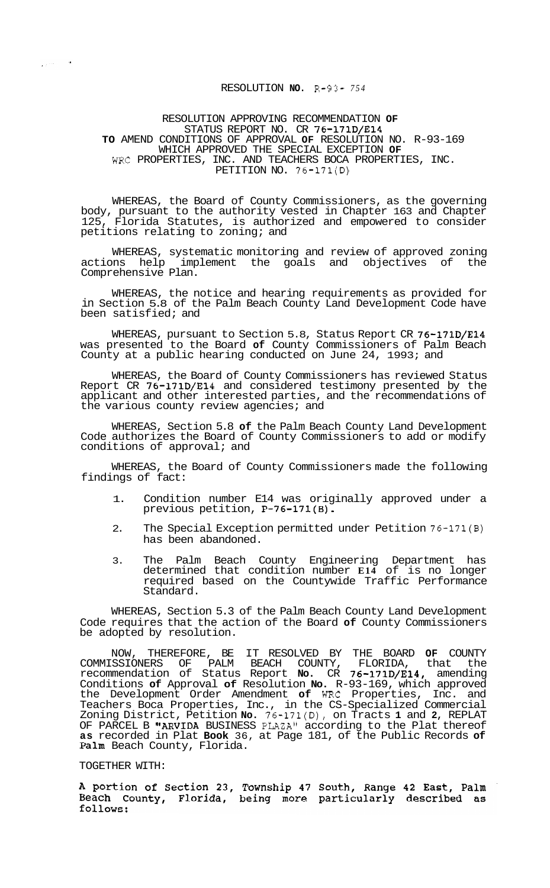## RESOLUTION **NO.** R-93- *<sup>754</sup>*

## RESOLUTION APPROVING RECOMMENDATION **OF**  STATUS REPORT NO. CR 76-171D/E14 **TO** AMEND CONDITIONS OF APPROVAL **OF** RESOLUTION NO. R-93-169 WHICH APPROVED THE SPECIAL EXCEPTION **OF**  WRC PROPERTIES, INC. AND TEACHERS BOCA PROPERTIES, INC. PETITION NO. 76-171(D)

WHEREAS, the Board of County Commissioners, as the governing body, pursuant to the authority vested in Chapter 163 and Chapter 125, Florida Statutes, is authorized and empowered to consider petitions relating to zoning; and

WHEREAS, systematic monitoring and review of approved zoning<br>what help implement the goals and objectives of the actions help implement the goals and objectives of Comprehensive Plan.

WHEREAS, the notice and hearing requirements as provided for in Section 5.8 of the Palm Beach County Land Development Code have been satisfied; and

WHEREAS, pursuant to Section 5.8, Status Report CR 76-171D/E14 was presented to the Board **of** County Commissioners of Palm Beach County at a public hearing conducted on June 24, 1993; and

WHEREAS, the Board of County Commissioners has reviewed Status Report CR 76-171D/E14 and considered testimony presented by the applicant and other interested parties, and the recommendations of the various county review agencies; and

WHEREAS, Section 5.8 **of** the Palm Beach County Land Development Code authorizes the Board of County Commissioners to add or modify conditions of approval; and

WHEREAS, the Board of County Commissioners made the following findings of fact:

- 1. Condition number E14 was originally approved under a previous petition, P-76-171(B).
- 2. The Special Exception permitted under Petition 76-171(B) has been abandoned.
- 3. The Palm Beach County Engineering Department has determined that condition number **E14** of is no longer required based on the Countywide Traffic Performance Standard.

WHEREAS, Section 5.3 of the Palm Beach County Land Development Code requires that the action of the Board **of** County Commissioners be adopted by resolution.

NOW, THEREFORE, BE IT RESOLVED BY THE BOARD **OF** COUNTY COMMISSIONERS OF PALM BEACH COUNTY, FLORIDA, that the recommendation of Status Report **No.** CR 76-171D/E14, amending Conditions **of** Approval **of** Resolution **No.** R-93-169, which approved the Development Order Amendment **of** WRC Properties, Inc. and Teachers Boca Properties, Inc., in the CS-Specialized Commercial Zoning District, Petition **No.** 76-171(D), on Tracts **1** and **2,** REPLAT OF PARCEL B "ARVIDA BUSINESS PLAZA" according to the Plat thereof **as** recorded in Plat **Book** 36, at Page 181, of the Public Records **of**  Palm Beach County, Florida.

## TOGETHER WITH:

 $\mathcal{L}^{(m)}=\mathcal{A}^{\dagger}$ 

A portion of Section 23, Township 47 South, Range 42 East, Palm<br>Beach County, Florida, being more particularly described as follows: